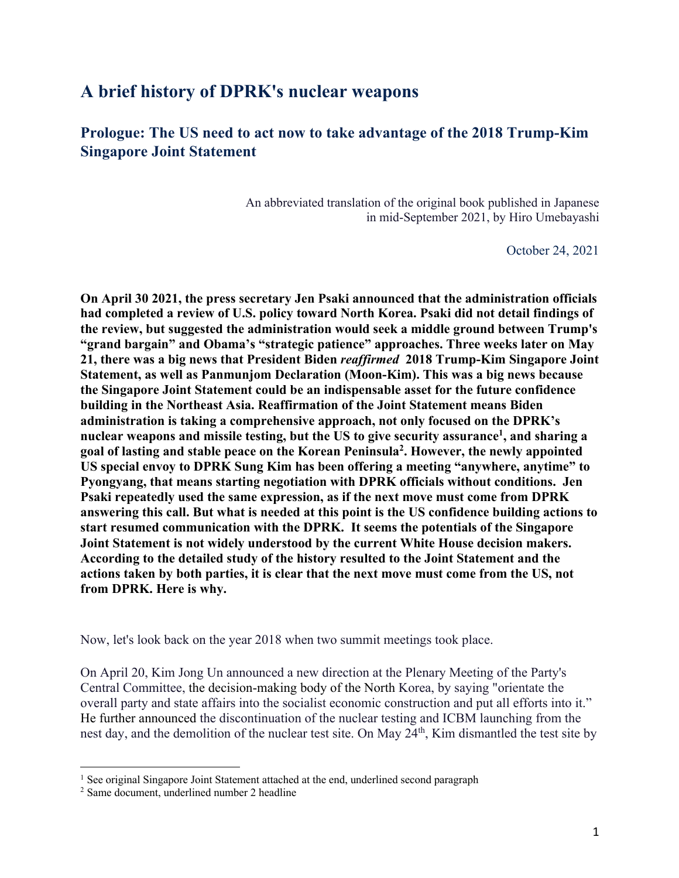## **A brief history of DPRK's nuclear weapons**

## **Prologue: The US need to act now to take advantage of the 2018 Trump-Kim Singapore Joint Statement**

An abbreviated translation of the original book published in Japanese in mid-September 2021, by Hiro Umebayashi

October 24, 2021

**On April 30 2021, the press secretary Jen Psaki announced that the administration officials had completed a review of U.S. policy toward North Korea. Psaki did not detail findings of the review, but suggested the administration would seek a middle ground between Trump's "grand bargain" and Obama's "strategic patience" approaches. Three weeks later on May 21, there was a big news that President Biden** *reaffirmed* **2018 Trump-Kim Singapore Joint Statement, as well as Panmunjom Declaration (Moon-Kim). This was a big news because the Singapore Joint Statement could be an indispensable asset for the future confidence building in the Northeast Asia. Reaffirmation of the Joint Statement means Biden administration is taking a comprehensive approach, not only focused on the DPRK's** nuclear weapons and missile testing, but the US to give security assurance<sup>1</sup>, and sharing a **goal of lasting and stable peace on the Korean Peninsula2 . However, the newly appointed US special envoy to DPRK Sung Kim has been offering a meeting "anywhere, anytime" to Pyongyang, that means starting negotiation with DPRK officials without conditions. Jen Psaki repeatedly used the same expression, as if the next move must come from DPRK answering this call. But what is needed at this point is the US confidence building actions to start resumed communication with the DPRK. It seems the potentials of the Singapore Joint Statement is not widely understood by the current White House decision makers. According to the detailed study of the history resulted to the Joint Statement and the actions taken by both parties, it is clear that the next move must come from the US, not from DPRK. Here is why.**

Now, let's look back on the year 2018 when two summit meetings took place.

On April 20, Kim Jong Un announced a new direction at the Plenary Meeting of the Party's Central Committee, the decision-making body of the North Korea, by saying "orientate the overall party and state affairs into the socialist economic construction and put all efforts into it." He further announced the discontinuation of the nuclear testing and ICBM launching from the nest day, and the demolition of the nuclear test site. On May 24<sup>th</sup>, Kim dismantled the test site by

<sup>&</sup>lt;sup>1</sup> See original Singapore Joint Statement attached at the end, underlined second paragraph

<sup>2</sup> Same document, underlined number 2 headline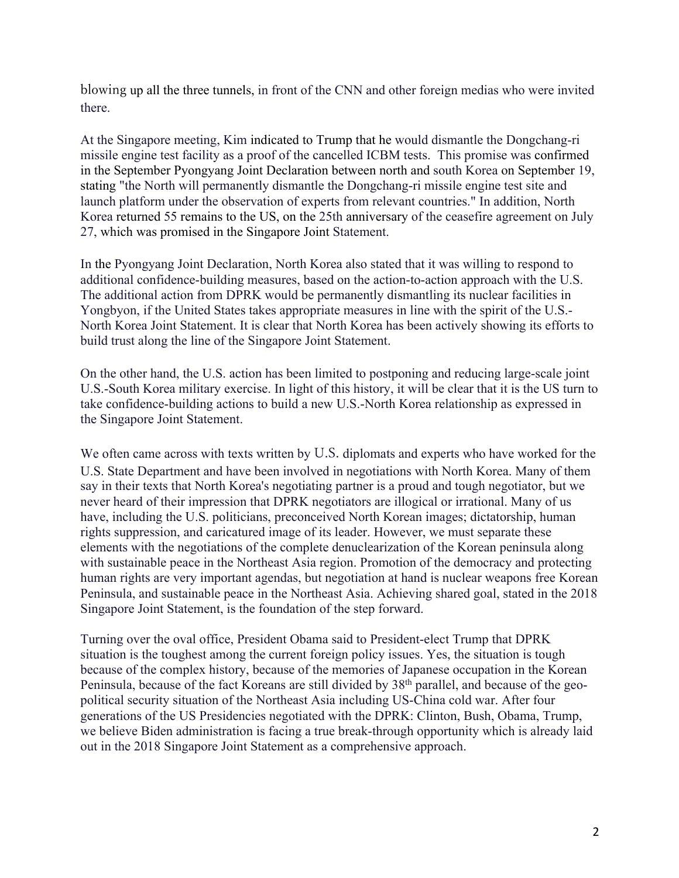blowing up all the three tunnels, in front of the CNN and other foreign medias who were invited there.

At the Singapore meeting, Kim indicated to Trump that he would dismantle the Dongchang-ri missile engine test facility as a proof of the cancelled ICBM tests. This promise was confirmed in the September Pyongyang Joint Declaration between north and south Korea on September 19, stating "the North will permanently dismantle the Dongchang-ri missile engine test site and launch platform under the observation of experts from relevant countries." In addition, North Korea returned 55 remains to the US, on the 25th anniversary of the ceasefire agreement on July 27, which was promised in the Singapore Joint Statement.

In the Pyongyang Joint Declaration, North Korea also stated that it was willing to respond to additional confidence-building measures, based on the action-to-action approach with the U.S. The additional action from DPRK would be permanently dismantling its nuclear facilities in Yongbyon, if the United States takes appropriate measures in line with the spirit of the U.S.- North Korea Joint Statement. It is clear that North Korea has been actively showing its efforts to build trust along the line of the Singapore Joint Statement.

On the other hand, the U.S. action has been limited to postponing and reducing large-scale joint U.S.-South Korea military exercise. In light of this history, it will be clear that it is the US turn to take confidence-building actions to build a new U.S.-North Korea relationship as expressed in the Singapore Joint Statement.

We often came across with texts written by U.S. diplomats and experts who have worked for the U.S. State Department and have been involved in negotiations with North Korea. Many of them say in their texts that North Korea's negotiating partner is a proud and tough negotiator, but we never heard of their impression that DPRK negotiators are illogical or irrational. Many of us have, including the U.S. politicians, preconceived North Korean images; dictatorship, human rights suppression, and caricatured image of its leader. However, we must separate these elements with the negotiations of the complete denuclearization of the Korean peninsula along with sustainable peace in the Northeast Asia region. Promotion of the democracy and protecting human rights are very important agendas, but negotiation at hand is nuclear weapons free Korean Peninsula, and sustainable peace in the Northeast Asia. Achieving shared goal, stated in the 2018 Singapore Joint Statement, is the foundation of the step forward.

Turning over the oval office, President Obama said to President-elect Trump that DPRK situation is the toughest among the current foreign policy issues. Yes, the situation is tough because of the complex history, because of the memories of Japanese occupation in the Korean Peninsula, because of the fact Koreans are still divided by 38<sup>th</sup> parallel, and because of the geopolitical security situation of the Northeast Asia including US-China cold war. After four generations of the US Presidencies negotiated with the DPRK: Clinton, Bush, Obama, Trump, we believe Biden administration is facing a true break-through opportunity which is already laid out in the 2018 Singapore Joint Statement as a comprehensive approach.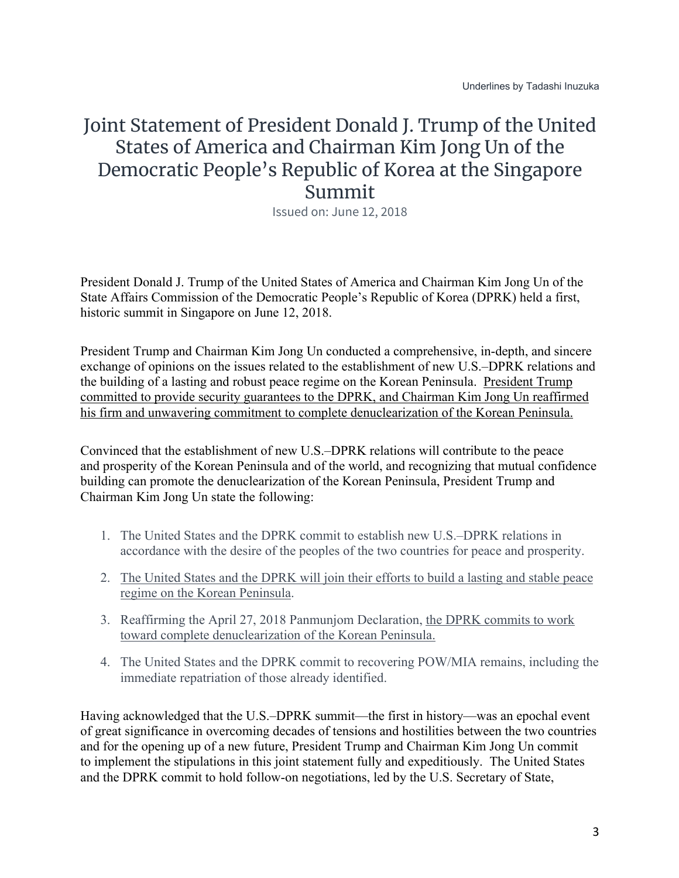## Joint Statement of President Donald J. Trump of the United States of America and Chairman Kim Jong Un of the Democratic People's Republic of Korea at the Singapore Summit

Issued on: June 12, 2018

President Donald J. Trump of the United States of America and Chairman Kim Jong Un of the State Affairs Commission of the Democratic People's Republic of Korea (DPRK) held a first, historic summit in Singapore on June 12, 2018.

President Trump and Chairman Kim Jong Un conducted a comprehensive, in-depth, and sincere exchange of opinions on the issues related to the establishment of new U.S.–DPRK relations and the building of a lasting and robust peace regime on the Korean Peninsula. President Trump committed to provide security guarantees to the DPRK, and Chairman Kim Jong Un reaffirmed his firm and unwavering commitment to complete denuclearization of the Korean Peninsula.

Convinced that the establishment of new U.S.–DPRK relations will contribute to the peace and prosperity of the Korean Peninsula and of the world, and recognizing that mutual confidence building can promote the denuclearization of the Korean Peninsula, President Trump and Chairman Kim Jong Un state the following:

- 1. The United States and the DPRK commit to establish new U.S.–DPRK relations in accordance with the desire of the peoples of the two countries for peace and prosperity.
- 2. The United States and the DPRK will join their efforts to build a lasting and stable peace regime on the Korean Peninsula.
- 3. Reaffirming the April 27, 2018 Panmunjom Declaration, the DPRK commits to work toward complete denuclearization of the Korean Peninsula.
- 4. The United States and the DPRK commit to recovering POW/MIA remains, including the immediate repatriation of those already identified.

Having acknowledged that the U.S.–DPRK summit—the first in history—was an epochal event of great significance in overcoming decades of tensions and hostilities between the two countries and for the opening up of a new future, President Trump and Chairman Kim Jong Un commit to implement the stipulations in this joint statement fully and expeditiously. The United States and the DPRK commit to hold follow-on negotiations, led by the U.S. Secretary of State,